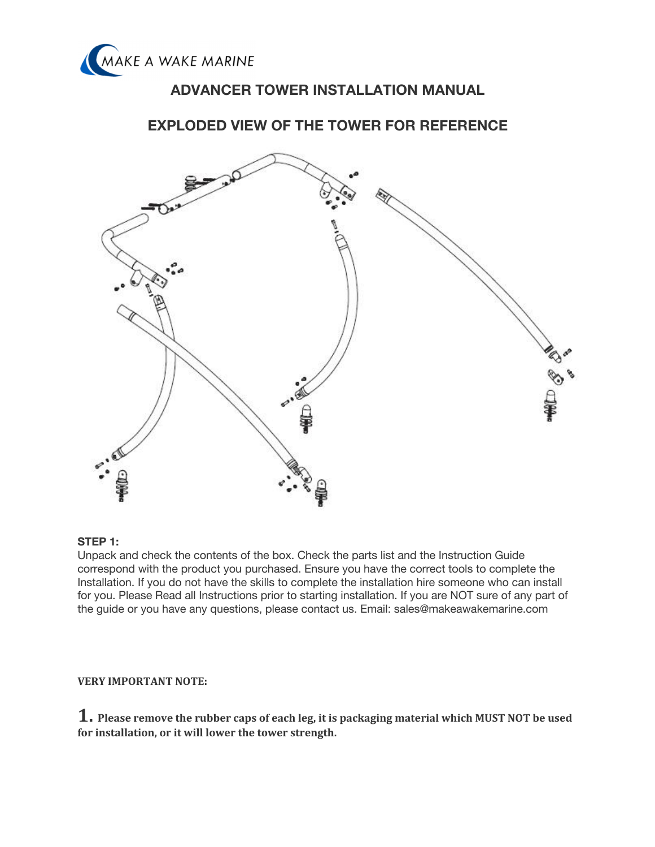

# **ADVANCER TOWER INSTALLATION MANUAL**

# **EXPLODED VIEW OF THE TOWER FOR REFERENCE**



## **STEP 1:**

Unpack and check the contents of the box. Check the parts list and the Instruction Guide correspond with the product you purchased. Ensure you have the correct tools to complete the Installation. If you do not have the skills to complete the installation hire someone who can install for you. Please Read all Instructions prior to starting installation. If you are NOT sure of any part of the guide or you have any questions, please contact us. Email: sales@makeawakemarine.com

## **VERY IMPORTANT NOTE:**

1. Please remove the rubber caps of each leg, it is packaging material which MUST NOT be used for installation, or it will lower the tower strength.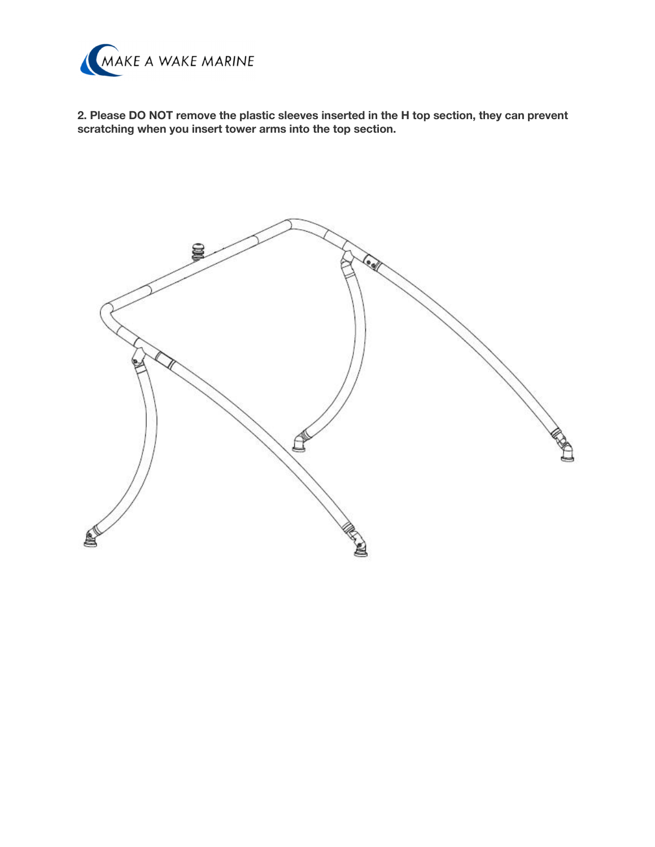

**2. Please DO NOT remove the plastic sleeves inserted in the H top section, they can prevent scratching when you insert tower arms into the top section.**

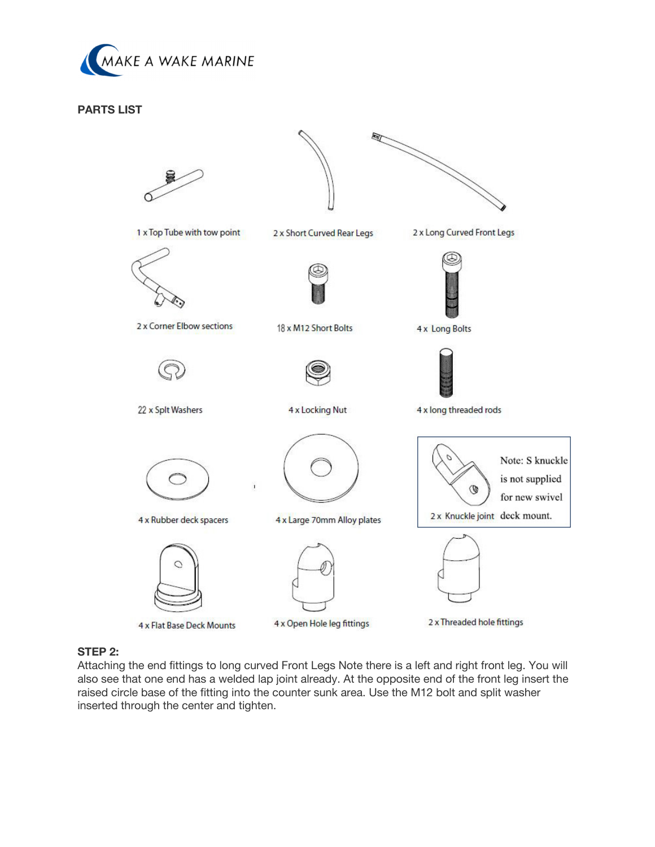

## **PARTS LIST**



## **STEP 2:**

Attaching the end fittings to long curved Front Legs Note there is a left and right front leg. You will also see that one end has a welded lap joint already. At the opposite end of the front leg insert the raised circle base of the fitting into the counter sunk area. Use the M12 bolt and split washer inserted through the center and tighten.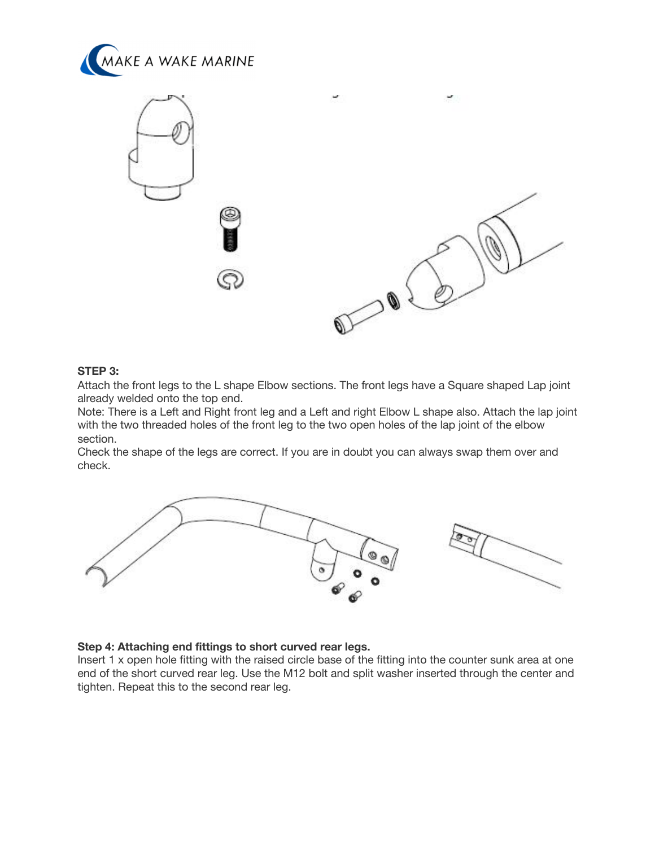



# **STEP 3:**

Attach the front legs to the L shape Elbow sections. The front legs have a Square shaped Lap joint already welded onto the top end.

Note: There is a Left and Right front leg and a Left and right Elbow L shape also. Attach the lap joint with the two threaded holes of the front leg to the two open holes of the lap joint of the elbow section.

Check the shape of the legs are correct. If you are in doubt you can always swap them over and check.



#### **Step 4: Attaching end fittings to short curved rear legs.**

Insert 1 x open hole fitting with the raised circle base of the fitting into the counter sunk area at one end of the short curved rear leg. Use the M12 bolt and split washer inserted through the center and tighten. Repeat this to the second rear leg.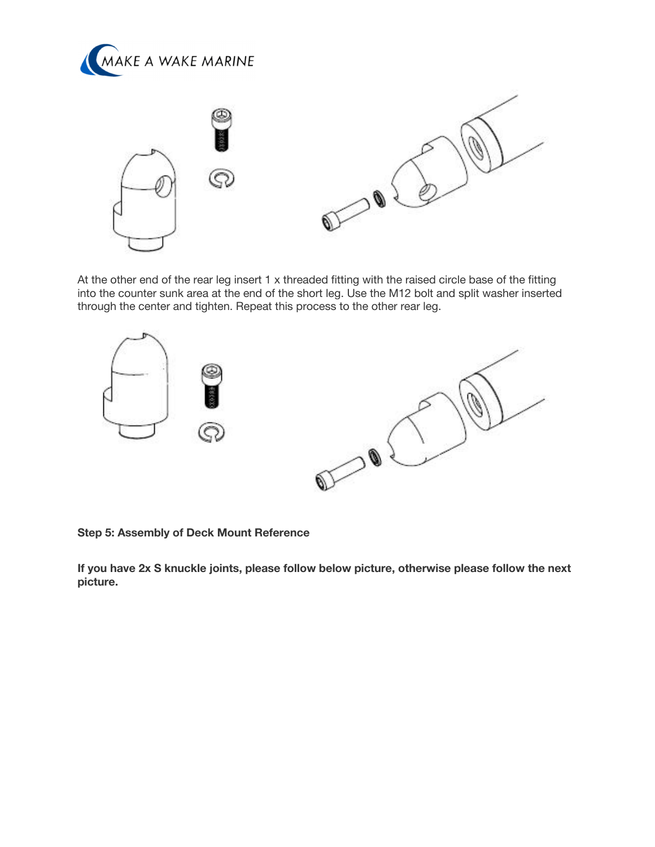



At the other end of the rear leg insert 1 x threaded fitting with the raised circle base of the fitting into the counter sunk area at the end of the short leg. Use the M12 bolt and split washer inserted through the center and tighten. Repeat this process to the other rear leg.



**Step 5: Assembly of Deck Mount Reference**

**If you have 2x S knuckle joints, please follow below picture, otherwise please follow the next picture.**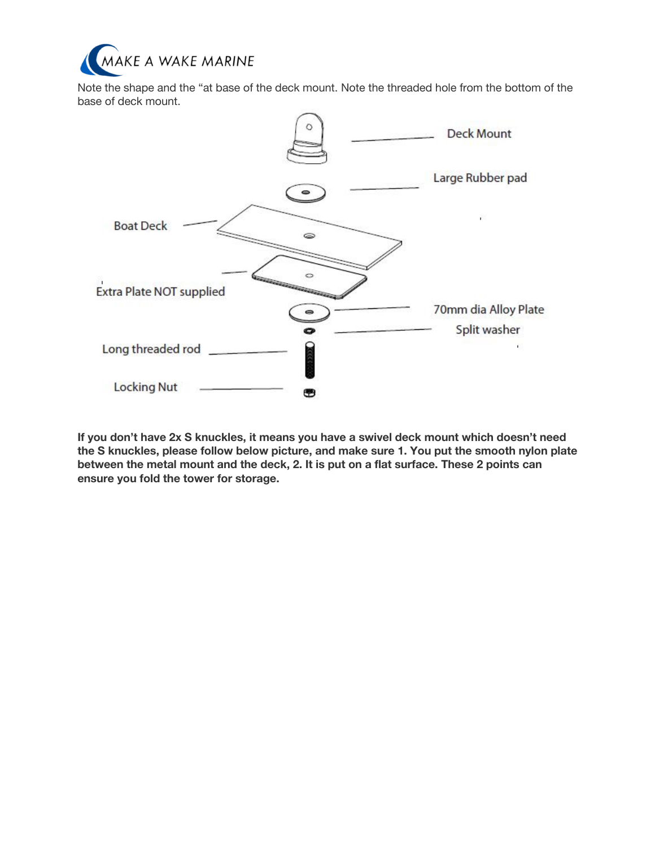

Note the shape and the "at base of the deck mount. Note the threaded hole from the bottom of the base of deck mount.



**If you don't have 2x S knuckles, it means you have a swivel deck mount which doesn't need the S knuckles, please follow below picture, and make sure 1. You put the smooth nylon plate between the metal mount and the deck, 2. It is put on a flat surface. These 2 points can ensure you fold the tower for storage.**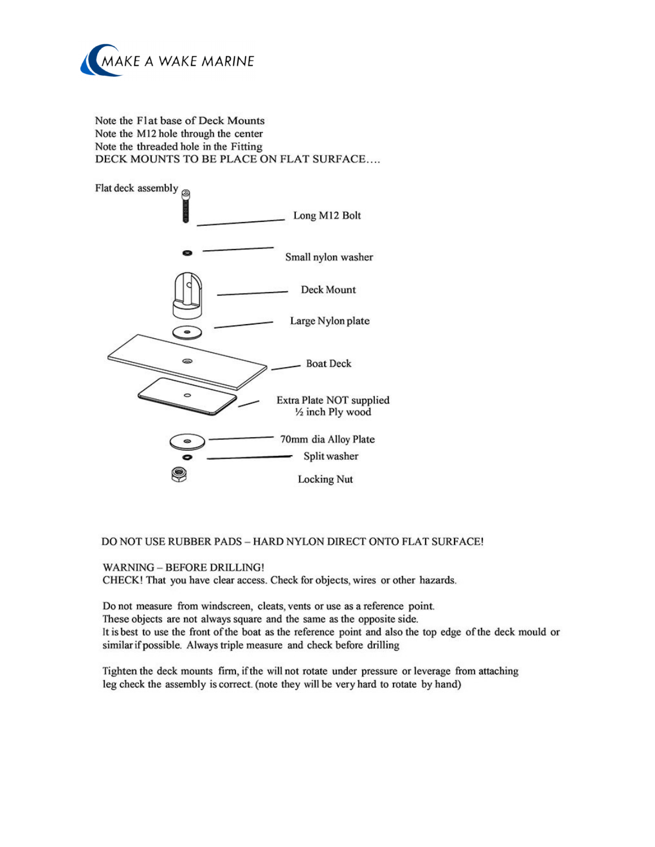

Note the Flat base of Deck Mounts Note the M12 hole through the center Note the threaded hole in the Fitting DECK MOUNTS TO BE PLACE ON FLAT SURFACE....



#### DO NOT USE RUBBER PADS - HARD NYLON DIRECT ONTO FLAT SURFACE!

#### **WARNING - BEFORE DRILLING!**

CHECK! That you have clear access. Check for objects, wires or other hazards.

Do not measure from windscreen, cleats, vents or use as a reference point. These objects are not always square and the same as the opposite side. It is best to use the front of the boat as the reference point and also the top edge of the deck mould or similar if possible. Always triple measure and check before drilling

Tighten the deck mounts firm, if the will not rotate under pressure or leverage from attaching leg check the assembly is correct. (note they will be very hard to rotate by hand)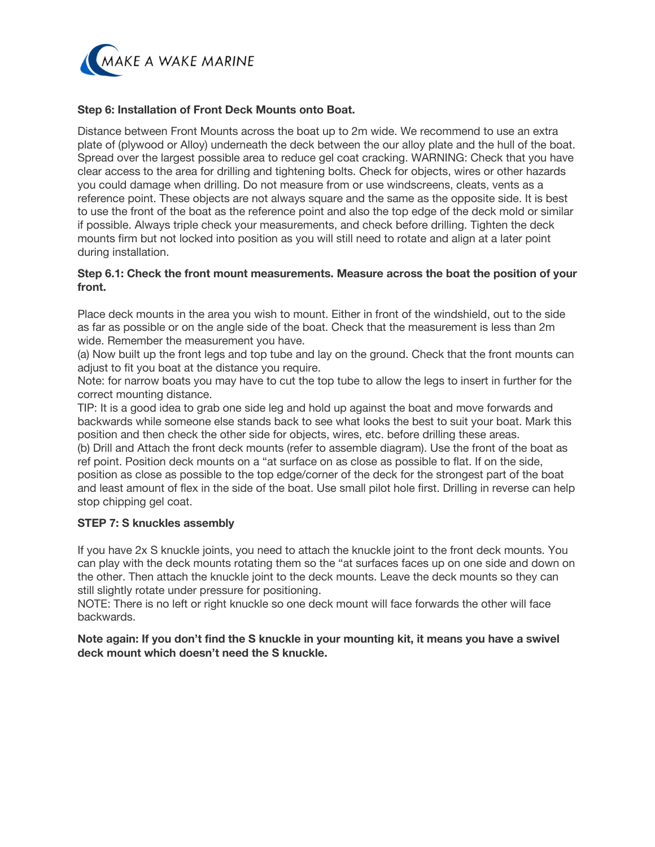

## **Step 6: Installation of Front Deck Mounts onto Boat.**

Distance between Front Mounts across the boat up to 2m wide. We recommend to use an extra plate of (plywood or Alloy) underneath the deck between the our alloy plate and the hull of the boat. Spread over the largest possible area to reduce gel coat cracking. WARNING: Check that you have clear access to the area for drilling and tightening bolts. Check for objects, wires or other hazards you could damage when drilling. Do not measure from or use windscreens, cleats, vents as a reference point. These objects are not always square and the same as the opposite side. It is best to use the front of the boat as the reference point and also the top edge of the deck mold or similar if possible. Always triple check your measurements, and check before drilling. Tighten the deck mounts firm but not locked into position as you will still need to rotate and align at a later point during installation.

## **Step 6.1: Check the front mount measurements. Measure across the boat the position of your front.**

Place deck mounts in the area you wish to mount. Either in front of the windshield, out to the side as far as possible or on the angle side of the boat. Check that the measurement is less than 2m wide. Remember the measurement you have.

(a) Now built up the front legs and top tube and lay on the ground. Check that the front mounts can adjust to fit you boat at the distance you require.

Note: for narrow boats you may have to cut the top tube to allow the legs to insert in further for the correct mounting distance.

TIP: It is a good idea to grab one side leg and hold up against the boat and move forwards and backwards while someone else stands back to see what looks the best to suit your boat. Mark this position and then check the other side for objects, wires, etc. before drilling these areas.

(b) Drill and Attach the front deck mounts (refer to assemble diagram). Use the front of the boat as ref point. Position deck mounts on a "at surface on as close as possible to flat. If on the side, position as close as possible to the top edge/corner of the deck for the strongest part of the boat and least amount of flex in the side of the boat. Use small pilot hole first. Drilling in reverse can help stop chipping gel coat.

## **STEP 7: S knuckles assembly**

If you have 2x S knuckle joints, you need to attach the knuckle joint to the front deck mounts. You can play with the deck mounts rotating them so the "at surfaces faces up on one side and down on the other. Then attach the knuckle joint to the deck mounts. Leave the deck mounts so they can still slightly rotate under pressure for positioning.

NOTE: There is no left or right knuckle so one deck mount will face forwards the other will face backwards.

**Note again: If you don't find the S knuckle in your mounting kit, it means you have a swivel deck mount which doesn't need the S knuckle.**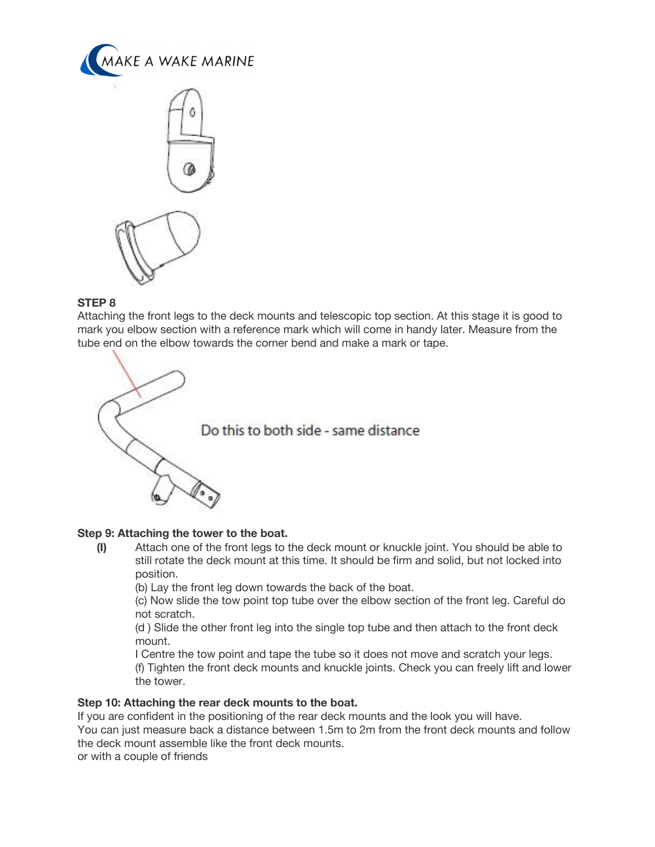



## **STEP 8**

Attaching the front legs to the deck mounts and telescopic top section. At this stage it is good to mark you elbow section with a reference mark which will come in handy later. Measure from the tube end on the elbow towards the corner bend and make a mark or tape.



# **Step 9: Attaching the tower to the boat.**

**(I)** Attach one of the front legs to the deck mount or knuckle joint. You should be able to still rotate the deck mount at this time. It should be firm and solid, but not locked into position.

(b) Lay the front leg down towards the back of the boat.

(c) Now slide the tow point top tube over the elbow section of the front leg. Careful do not scratch.

(d ) Slide the other front leg into the single top tube and then attach to the front deck mount.

I Centre the tow point and tape the tube so it does not move and scratch your legs. (f) Tighten the front deck mounts and knuckle joints. Check you can freely lift and lower the tower.

## **Step 10: Attaching the rear deck mounts to the boat.**

If you are confident in the positioning of the rear deck mounts and the look you will have.

You can just measure back a distance between 1.5m to 2m from the front deck mounts and follow the deck mount assemble like the front deck mounts.

or with a couple of friends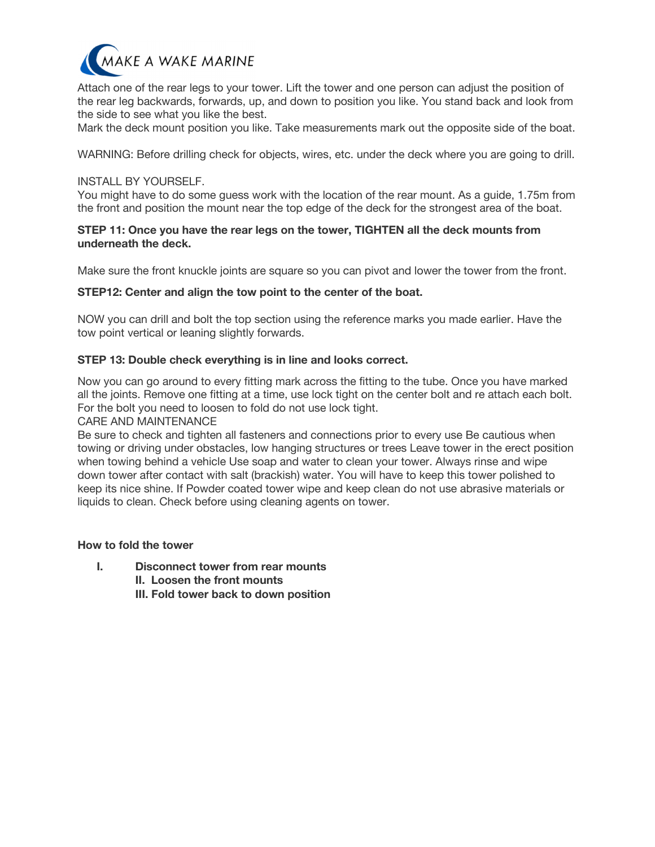

Attach one of the rear legs to your tower. Lift the tower and one person can adjust the position of the rear leg backwards, forwards, up, and down to position you like. You stand back and look from the side to see what you like the best.

Mark the deck mount position you like. Take measurements mark out the opposite side of the boat.

WARNING: Before drilling check for objects, wires, etc. under the deck where you are going to drill.

#### INSTALL BY YOURSELF.

You might have to do some guess work with the location of the rear mount. As a guide, 1.75m from the front and position the mount near the top edge of the deck for the strongest area of the boat.

## **STEP 11: Once you have the rear legs on the tower, TIGHTEN all the deck mounts from underneath the deck.**

Make sure the front knuckle joints are square so you can pivot and lower the tower from the front.

#### **STEP12: Center and align the tow point to the center of the boat.**

NOW you can drill and bolt the top section using the reference marks you made earlier. Have the tow point vertical or leaning slightly forwards.

#### **STEP 13: Double check everything is in line and looks correct.**

Now you can go around to every fitting mark across the fitting to the tube. Once you have marked all the joints. Remove one fitting at a time, use lock tight on the center bolt and re attach each bolt. For the bolt you need to loosen to fold do not use lock tight.

CARE AND MAINTENANCE

Be sure to check and tighten all fasteners and connections prior to every use Be cautious when towing or driving under obstacles, low hanging structures or trees Leave tower in the erect position when towing behind a vehicle Use soap and water to clean your tower. Always rinse and wipe down tower after contact with salt (brackish) water. You will have to keep this tower polished to keep its nice shine. If Powder coated tower wipe and keep clean do not use abrasive materials or liquids to clean. Check before using cleaning agents on tower.

#### **How to fold the tower**

**I. Disconnect tower from rear mounts II. Loosen the front mounts III. Fold tower back to down position**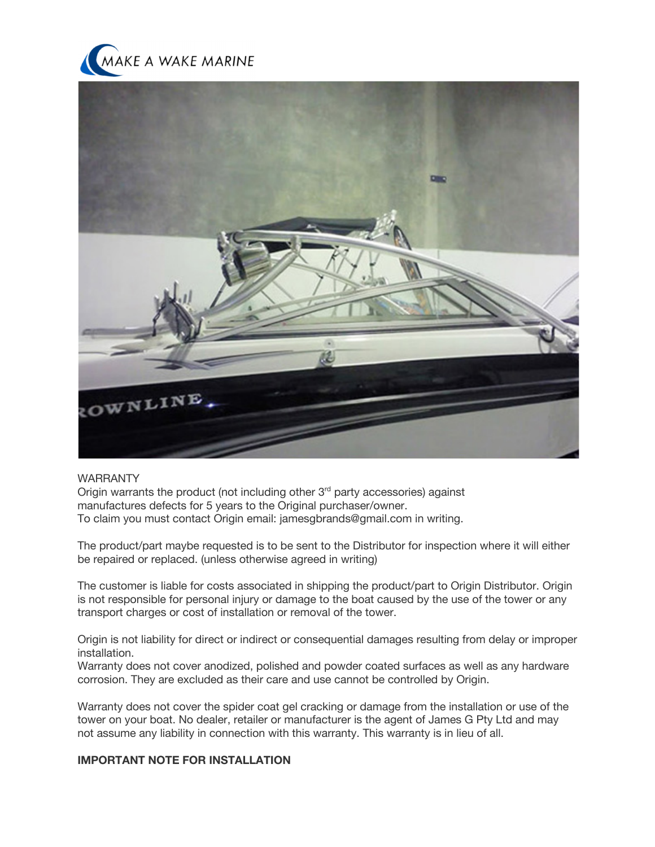



## WARRANTY

Origin warrants the product (not including other 3<sup>rd</sup> party accessories) against manufactures defects for 5 years to the Original purchaser/owner. To claim you must contact Origin email: jamesgbrands@gmail.com in writing.

The product/part maybe requested is to be sent to the Distributor for inspection where it will either be repaired or replaced. (unless otherwise agreed in writing)

The customer is liable for costs associated in shipping the product/part to Origin Distributor. Origin is not responsible for personal injury or damage to the boat caused by the use of the tower or any transport charges or cost of installation or removal of the tower.

Origin is not liability for direct or indirect or consequential damages resulting from delay or improper installation.

Warranty does not cover anodized, polished and powder coated surfaces as well as any hardware corrosion. They are excluded as their care and use cannot be controlled by Origin.

Warranty does not cover the spider coat gel cracking or damage from the installation or use of the tower on your boat. No dealer, retailer or manufacturer is the agent of James G Pty Ltd and may not assume any liability in connection with this warranty. This warranty is in lieu of all.

#### **IMPORTANT NOTE FOR INSTALLATION**